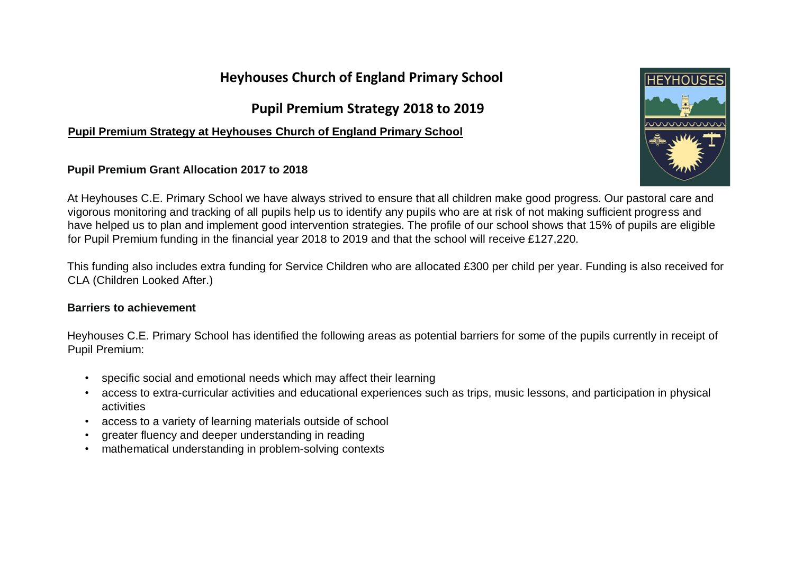# **Heyhouses Church of England Primary School**

# **Pupil Premium Strategy 2018 to 2019**

## **Pupil Premium Strategy at Heyhouses Church of England Primary School**

## **Pupil Premium Grant Allocation 2017 to 2018**



At Heyhouses C.E. Primary School we have always strived to ensure that all children make good progress. Our pastoral care and vigorous monitoring and tracking of all pupils help us to identify any pupils who are at risk of not making sufficient progress and have helped us to plan and implement good intervention strategies. The profile of our school shows that 15% of pupils are eligible for Pupil Premium funding in the financial year 2018 to 2019 and that the school will receive £127,220.

This funding also includes extra funding for Service Children who are allocated £300 per child per year. Funding is also received for CLA (Children Looked After.)

### **Barriers to achievement**

Heyhouses C.E. Primary School has identified the following areas as potential barriers for some of the pupils currently in receipt of Pupil Premium:

- specific social and emotional needs which may affect their learning
- access to extra-curricular activities and educational experiences such as trips, music lessons, and participation in physical activities
- access to a variety of learning materials outside of school
- greater fluency and deeper understanding in reading
- mathematical understanding in problem-solving contexts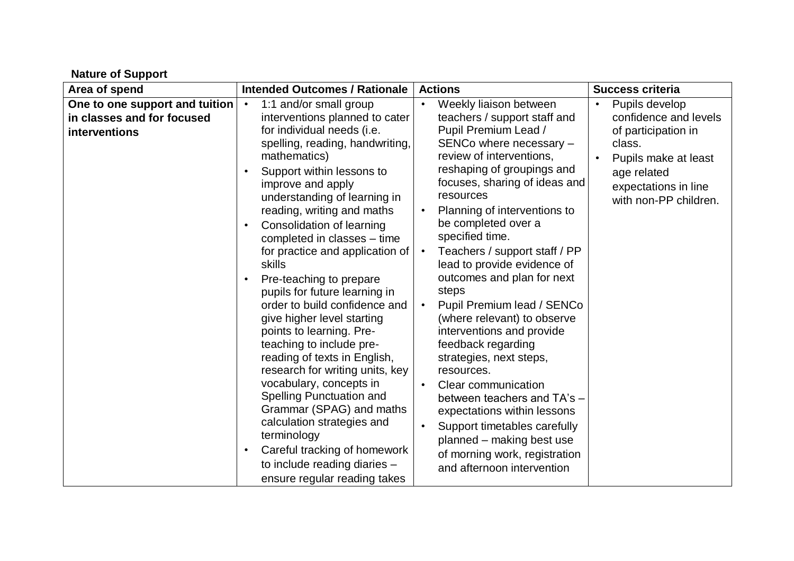| Area of spend                                                                 | <b>Intended Outcomes / Rationale</b>                                                                                                                                                                                                                                                                                                                                                                                                                                                                                                                                                                                                                                                                                                                                                                                                                                                                                      | <b>Actions</b>                                                                                                                                                                                                                                                                                                                                                                                                                                                                                                                                                                                                                                                                                                                                                                                                                                | <b>Success criteria</b>                                                                                                                                          |
|-------------------------------------------------------------------------------|---------------------------------------------------------------------------------------------------------------------------------------------------------------------------------------------------------------------------------------------------------------------------------------------------------------------------------------------------------------------------------------------------------------------------------------------------------------------------------------------------------------------------------------------------------------------------------------------------------------------------------------------------------------------------------------------------------------------------------------------------------------------------------------------------------------------------------------------------------------------------------------------------------------------------|-----------------------------------------------------------------------------------------------------------------------------------------------------------------------------------------------------------------------------------------------------------------------------------------------------------------------------------------------------------------------------------------------------------------------------------------------------------------------------------------------------------------------------------------------------------------------------------------------------------------------------------------------------------------------------------------------------------------------------------------------------------------------------------------------------------------------------------------------|------------------------------------------------------------------------------------------------------------------------------------------------------------------|
| One to one support and tuition<br>in classes and for focused<br>interventions | 1:1 and/or small group<br>$\bullet$<br>interventions planned to cater<br>for individual needs (i.e.<br>spelling, reading, handwriting,<br>mathematics)<br>Support within lessons to<br>$\bullet$<br>improve and apply<br>understanding of learning in<br>reading, writing and maths<br>Consolidation of learning<br>$\bullet$<br>completed in classes - time<br>for practice and application of<br>skills<br>Pre-teaching to prepare<br>$\bullet$<br>pupils for future learning in<br>order to build confidence and<br>give higher level starting<br>points to learning. Pre-<br>teaching to include pre-<br>reading of texts in English,<br>research for writing units, key<br>vocabulary, concepts in<br>Spelling Punctuation and<br>Grammar (SPAG) and maths<br>calculation strategies and<br>terminology<br>Careful tracking of homework<br>$\bullet$<br>to include reading diaries -<br>ensure regular reading takes | Weekly liaison between<br>$\bullet$<br>teachers / support staff and<br>Pupil Premium Lead /<br>SENCo where necessary -<br>review of interventions.<br>reshaping of groupings and<br>focuses, sharing of ideas and<br>resources<br>Planning of interventions to<br>be completed over a<br>specified time.<br>Teachers / support staff / PP<br>$\bullet$<br>lead to provide evidence of<br>outcomes and plan for next<br>steps<br>Pupil Premium lead / SENCo<br>$\bullet$<br>(where relevant) to observe<br>interventions and provide<br>feedback regarding<br>strategies, next steps,<br>resources.<br>Clear communication<br>$\bullet$<br>between teachers and TA's -<br>expectations within lessons<br>Support timetables carefully<br>$\bullet$<br>planned - making best use<br>of morning work, registration<br>and afternoon intervention | Pupils develop<br>confidence and levels<br>of participation in<br>class.<br>Pupils make at least<br>age related<br>expectations in line<br>with non-PP children. |

**Nature of Support**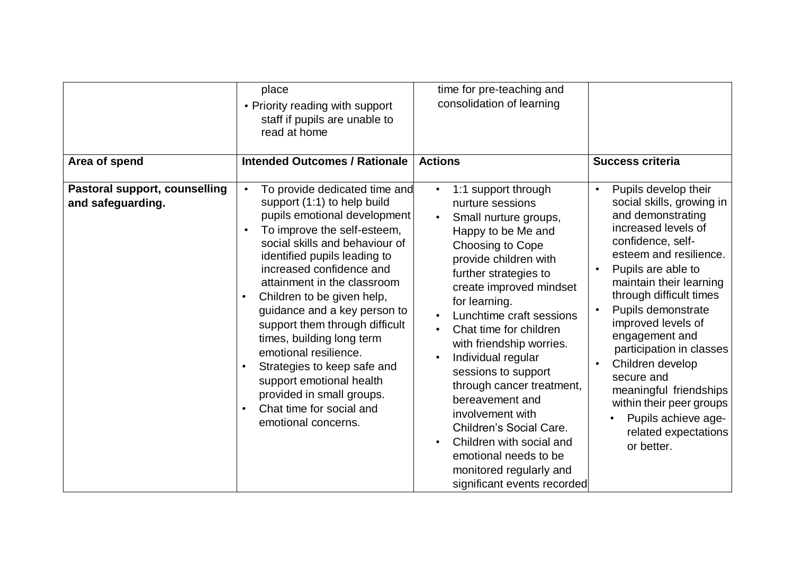|                                                                            | place<br>• Priority reading with support<br>staff if pupils are unable to<br>read at home<br><b>Intended Outcomes / Rationale</b>                                                                                                                                                                                                                                                                                                                                                                                                                                                                | time for pre-teaching and<br>consolidation of learning<br><b>Actions</b>                                                                                                                                                                                                                                                                                                                                                                                                                                                                              |                                                                                                                                                                                                                                                                                                                                                                                                                                                                                                                 |
|----------------------------------------------------------------------------|--------------------------------------------------------------------------------------------------------------------------------------------------------------------------------------------------------------------------------------------------------------------------------------------------------------------------------------------------------------------------------------------------------------------------------------------------------------------------------------------------------------------------------------------------------------------------------------------------|-------------------------------------------------------------------------------------------------------------------------------------------------------------------------------------------------------------------------------------------------------------------------------------------------------------------------------------------------------------------------------------------------------------------------------------------------------------------------------------------------------------------------------------------------------|-----------------------------------------------------------------------------------------------------------------------------------------------------------------------------------------------------------------------------------------------------------------------------------------------------------------------------------------------------------------------------------------------------------------------------------------------------------------------------------------------------------------|
| Area of spend<br><b>Pastoral support, counselling</b><br>and safeguarding. | To provide dedicated time and<br>$\bullet$<br>support (1:1) to help build<br>pupils emotional development<br>To improve the self-esteem,<br>$\bullet$<br>social skills and behaviour of<br>identified pupils leading to<br>increased confidence and<br>attainment in the classroom<br>Children to be given help,<br>$\bullet$<br>guidance and a key person to<br>support them through difficult<br>times, building long term<br>emotional resilience.<br>Strategies to keep safe and<br>support emotional health<br>provided in small groups.<br>Chat time for social and<br>emotional concerns. | 1:1 support through<br>nurture sessions<br>Small nurture groups,<br>Happy to be Me and<br>Choosing to Cope<br>provide children with<br>further strategies to<br>create improved mindset<br>for learning.<br>Lunchtime craft sessions<br>Chat time for children<br>with friendship worries.<br>Individual regular<br>sessions to support<br>through cancer treatment,<br>bereavement and<br>involvement with<br>Children's Social Care.<br>Children with social and<br>emotional needs to be<br>monitored regularly and<br>significant events recorded | <b>Success criteria</b><br>Pupils develop their<br>$\bullet$<br>social skills, growing in<br>and demonstrating<br>increased levels of<br>confidence, self-<br>esteem and resilience.<br>Pupils are able to<br>maintain their learning<br>through difficult times<br>Pupils demonstrate<br>improved levels of<br>engagement and<br>participation in classes<br>Children develop<br>secure and<br>meaningful friendships<br>within their peer groups<br>Pupils achieve age-<br>related expectations<br>or better. |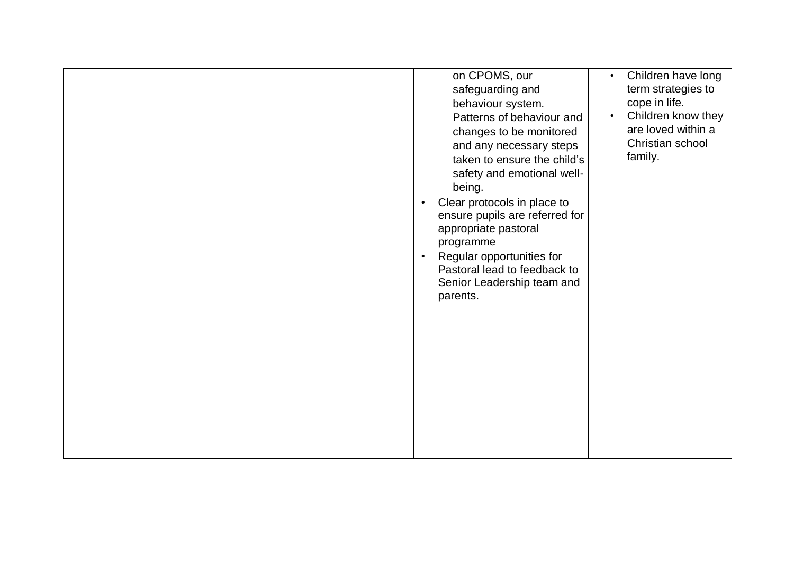|  | on CPOMS, our<br>safeguarding and<br>behaviour system.<br>Patterns of behaviour and<br>changes to be monitored<br>and any necessary steps<br>taken to ensure the child's<br>safety and emotional well-<br>being.<br>Clear protocols in place to<br>$\bullet$<br>ensure pupils are referred for<br>appropriate pastoral<br>programme<br>Regular opportunities for<br>$\bullet$<br>Pastoral lead to feedback to<br>Senior Leadership team and<br>parents. | Children have long<br>$\bullet$<br>term strategies to<br>cope in life.<br>Children know they<br>$\bullet$<br>are loved within a<br>Christian school<br>family. |
|--|---------------------------------------------------------------------------------------------------------------------------------------------------------------------------------------------------------------------------------------------------------------------------------------------------------------------------------------------------------------------------------------------------------------------------------------------------------|----------------------------------------------------------------------------------------------------------------------------------------------------------------|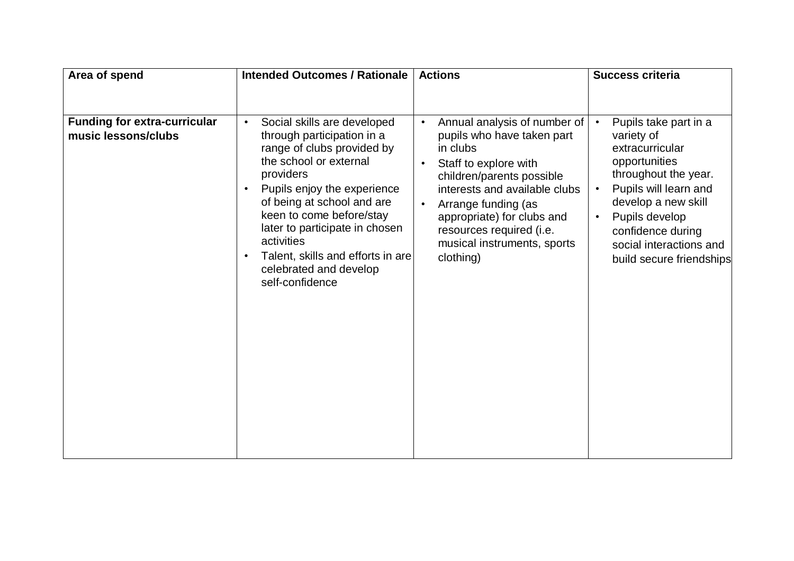| Area of spend                                              | <b>Intended Outcomes / Rationale</b>                                                                                                                                                                                                                                                                                                                                                             | <b>Actions</b>                                                                                                                                                                                                                                                                                                                    | <b>Success criteria</b>                                                                                                                                                                                                                                                 |
|------------------------------------------------------------|--------------------------------------------------------------------------------------------------------------------------------------------------------------------------------------------------------------------------------------------------------------------------------------------------------------------------------------------------------------------------------------------------|-----------------------------------------------------------------------------------------------------------------------------------------------------------------------------------------------------------------------------------------------------------------------------------------------------------------------------------|-------------------------------------------------------------------------------------------------------------------------------------------------------------------------------------------------------------------------------------------------------------------------|
|                                                            |                                                                                                                                                                                                                                                                                                                                                                                                  |                                                                                                                                                                                                                                                                                                                                   |                                                                                                                                                                                                                                                                         |
| <b>Funding for extra-curricular</b><br>music lessons/clubs | Social skills are developed<br>$\bullet$<br>through participation in a<br>range of clubs provided by<br>the school or external<br>providers<br>Pupils enjoy the experience<br>$\bullet$<br>of being at school and are<br>keen to come before/stay<br>later to participate in chosen<br>activities<br>Talent, skills and efforts in are<br>$\bullet$<br>celebrated and develop<br>self-confidence | Annual analysis of number of<br>$\bullet$<br>pupils who have taken part<br>in clubs<br>Staff to explore with<br>$\bullet$<br>children/parents possible<br>interests and available clubs<br>Arrange funding (as<br>$\bullet$<br>appropriate) for clubs and<br>resources required (i.e.<br>musical instruments, sports<br>clothing) | Pupils take part in a<br>$\bullet$<br>variety of<br>extracurricular<br>opportunities<br>throughout the year.<br>Pupils will learn and<br>develop a new skill<br>Pupils develop<br>$\bullet$<br>confidence during<br>social interactions and<br>build secure friendships |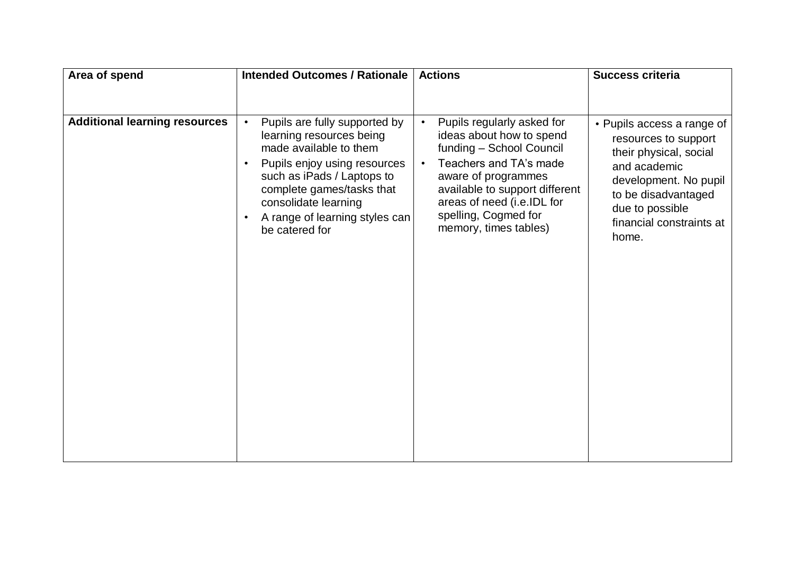| Area of spend                        | <b>Intended Outcomes / Rationale</b>                                                                                                                                                                                                                                                              | <b>Actions</b>                                                                                                                                                                                                                                                                 | <b>Success criteria</b>                                                                                                                                                                              |
|--------------------------------------|---------------------------------------------------------------------------------------------------------------------------------------------------------------------------------------------------------------------------------------------------------------------------------------------------|--------------------------------------------------------------------------------------------------------------------------------------------------------------------------------------------------------------------------------------------------------------------------------|------------------------------------------------------------------------------------------------------------------------------------------------------------------------------------------------------|
| <b>Additional learning resources</b> | Pupils are fully supported by<br>$\bullet$<br>learning resources being<br>made available to them<br>Pupils enjoy using resources<br>$\bullet$<br>such as iPads / Laptops to<br>complete games/tasks that<br>consolidate learning<br>A range of learning styles can<br>$\bullet$<br>be catered for | Pupils regularly asked for<br>$\bullet$<br>ideas about how to spend<br>funding - School Council<br>Teachers and TA's made<br>$\bullet$<br>aware of programmes<br>available to support different<br>areas of need (i.e.IDL for<br>spelling, Cogmed for<br>memory, times tables) | • Pupils access a range of<br>resources to support<br>their physical, social<br>and academic<br>development. No pupil<br>to be disadvantaged<br>due to possible<br>financial constraints at<br>home. |
|                                      |                                                                                                                                                                                                                                                                                                   |                                                                                                                                                                                                                                                                                |                                                                                                                                                                                                      |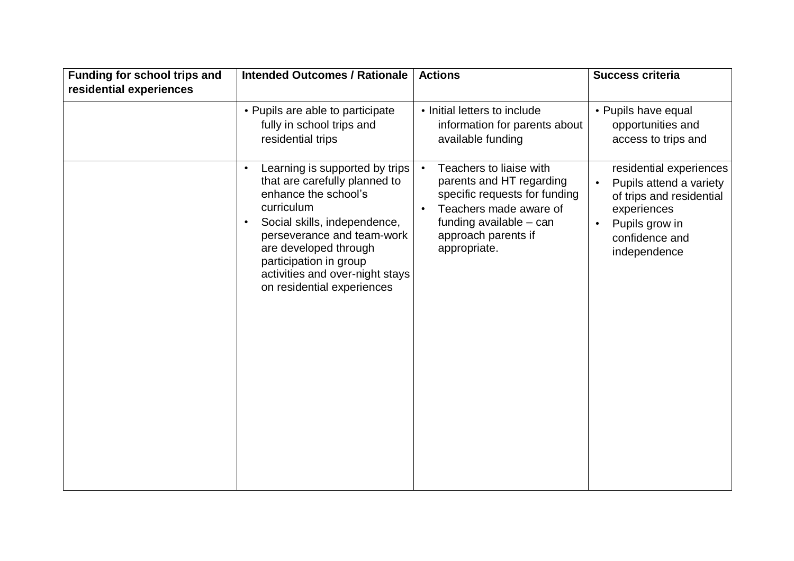| residential experiences                                                                                                                                                                                                                                                                                                                                                                                                                                                                                                                                                               | <b>Intended Outcomes / Rationale</b><br><b>Funding for school trips and</b> | <b>Actions</b>               | <b>Success criteria</b>                                                        |
|---------------------------------------------------------------------------------------------------------------------------------------------------------------------------------------------------------------------------------------------------------------------------------------------------------------------------------------------------------------------------------------------------------------------------------------------------------------------------------------------------------------------------------------------------------------------------------------|-----------------------------------------------------------------------------|------------------------------|--------------------------------------------------------------------------------|
|                                                                                                                                                                                                                                                                                                                                                                                                                                                                                                                                                                                       | • Pupils are able to participate                                            | • Initial letters to include | • Pupils have equal                                                            |
| fully in school trips and<br>information for parents about<br>opportunities and<br>residential trips<br>available funding<br>access to trips and                                                                                                                                                                                                                                                                                                                                                                                                                                      |                                                                             |                              |                                                                                |
| Teachers to liaise with<br>Learning is supported by trips<br>$\bullet$<br>$\bullet$<br>that are carefully planned to<br>parents and HT regarding<br>enhance the school's<br>specific requests for funding<br>curriculum<br>Teachers made aware of<br>experiences<br>Social skills, independence,<br>funding available - can<br>Pupils grow in<br>$\bullet$<br>perseverance and team-work<br>approach parents if<br>confidence and<br>are developed through<br>appropriate.<br>independence<br>participation in group<br>activities and over-night stays<br>on residential experiences |                                                                             |                              | residential experiences<br>Pupils attend a variety<br>of trips and residential |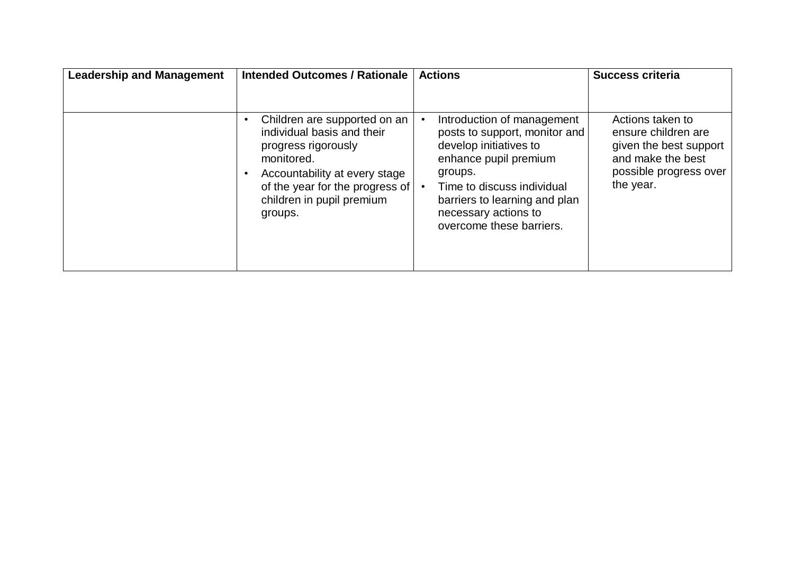| <b>Leadership and Management</b> | <b>Intended Outcomes / Rationale</b>                                                                                                                                                                        | <b>Actions</b>                                                                                                                                                                                                                               | <b>Success criteria</b>                                                                                                       |
|----------------------------------|-------------------------------------------------------------------------------------------------------------------------------------------------------------------------------------------------------------|----------------------------------------------------------------------------------------------------------------------------------------------------------------------------------------------------------------------------------------------|-------------------------------------------------------------------------------------------------------------------------------|
|                                  | Children are supported on an<br>individual basis and their<br>progress rigorously<br>monitored.<br>Accountability at every stage<br>of the year for the progress of<br>children in pupil premium<br>groups. | Introduction of management<br>posts to support, monitor and<br>develop initiatives to<br>enhance pupil premium<br>groups.<br>Time to discuss individual<br>barriers to learning and plan<br>necessary actions to<br>overcome these barriers. | Actions taken to<br>ensure children are<br>given the best support<br>and make the best<br>possible progress over<br>the year. |
|                                  |                                                                                                                                                                                                             |                                                                                                                                                                                                                                              |                                                                                                                               |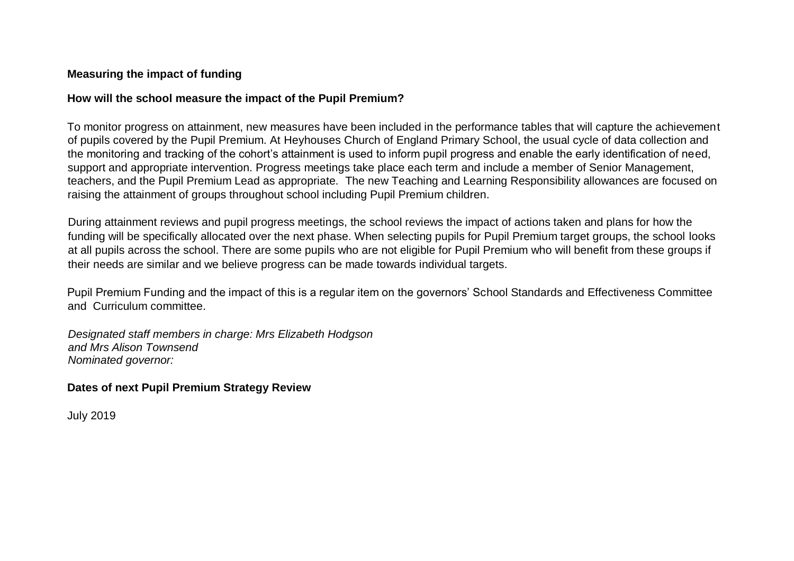#### **Measuring the impact of funding**

#### **How will the school measure the impact of the Pupil Premium?**

To monitor progress on attainment, new measures have been included in the performance tables that will capture the achievement of pupils covered by the Pupil Premium. At Heyhouses Church of England Primary School, the usual cycle of data collection and the monitoring and tracking of the cohort's attainment is used to inform pupil progress and enable the early identification of need, support and appropriate intervention. Progress meetings take place each term and include a member of Senior Management, teachers, and the Pupil Premium Lead as appropriate. The new Teaching and Learning Responsibility allowances are focused on raising the attainment of groups throughout school including Pupil Premium children.

During attainment reviews and pupil progress meetings, the school reviews the impact of actions taken and plans for how the funding will be specifically allocated over the next phase. When selecting pupils for Pupil Premium target groups, the school looks at all pupils across the school. There are some pupils who are not eligible for Pupil Premium who will benefit from these groups if their needs are similar and we believe progress can be made towards individual targets.

Pupil Premium Funding and the impact of this is a regular item on the governors' School Standards and Effectiveness Committee and Curriculum committee.

*Designated staff members in charge: Mrs Elizabeth Hodgson and Mrs Alison Townsend Nominated governor:* 

### **Dates of next Pupil Premium Strategy Review**

July 2019